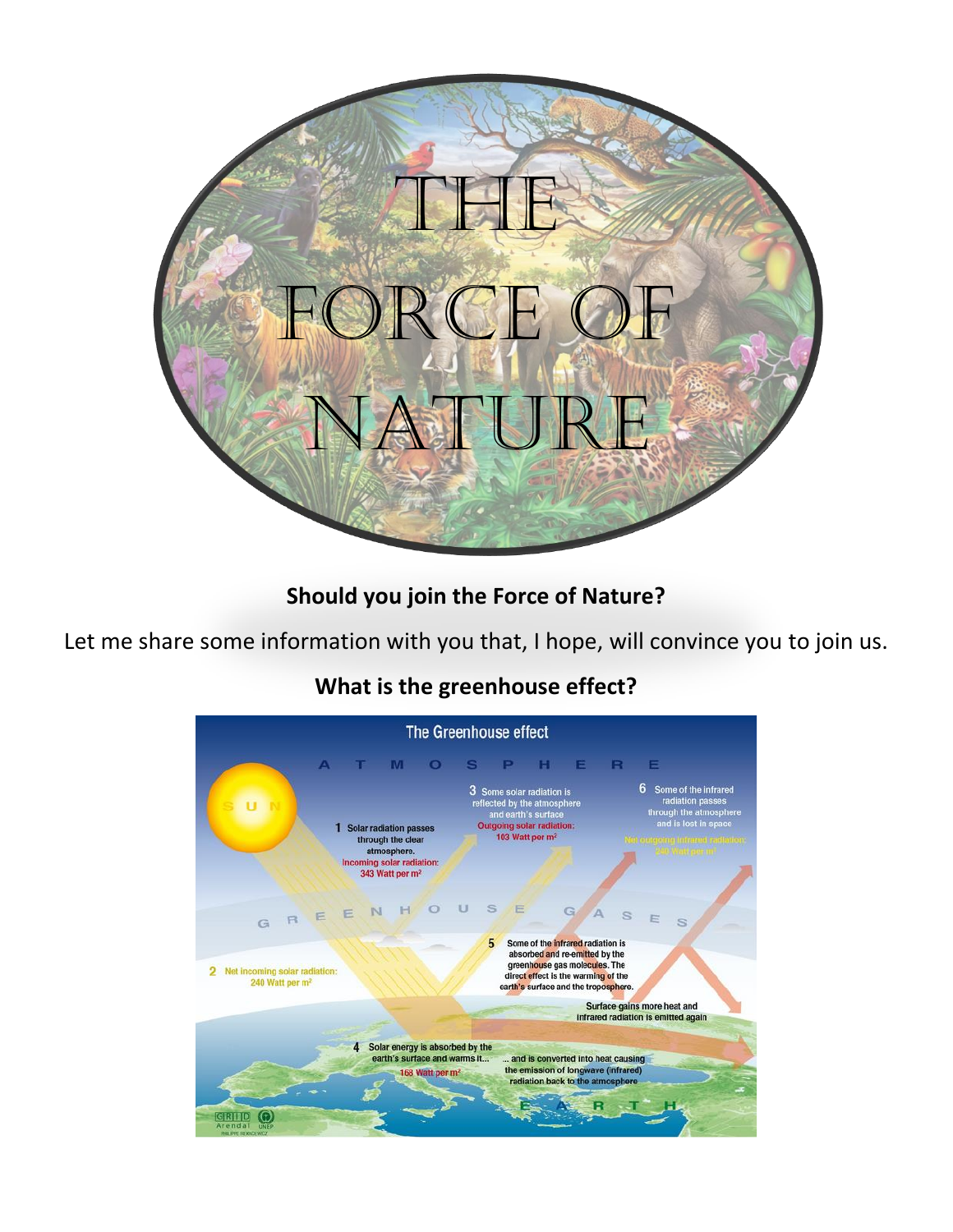

**Should you join the Force of Nature?** 

Let me share some information with you that, I hope, will convince you to join us.

#### The Greenhouse effect A T M O S P H E R E 3 Some solar radiation is<br>reflected by the atmosphere<br>and earth's surface<br>Outgoing solar radiation:<br> $\frac{1}{2}$ 6 Some of the infrared radiation passes<br>through the atmosphe<br>and is lost in space ü 1 Solar radiation passes<br>through the clear 103 Watt per m<sup>2</sup> atmosphere. Incoming solar radiation:<br> $343$  Watt per m<sup>2</sup> REENHOUSE G A S E  $\mathfrak{a}$  $G$ 5 Some of the infrared radiation is absorbed and re-emitted by the greenhouse gas molecules. The 2 Net incoming solar radiation: direct effect is the warming of the 240 Watt per m<sup>2</sup> earth's surface and the troposphere. Surface gains more heat and infrared radiation is emitted again 4 Solar energy is absorbed by the earth's surface and warms it... and is converted into heat causing the emission of longwave (infrared)<br>radiation back to the atmosphere 168 Watt per m<sup>2</sup>  $A_{2}$  R  $T$ GRIID ONEP

# **What is the greenhouse effect?**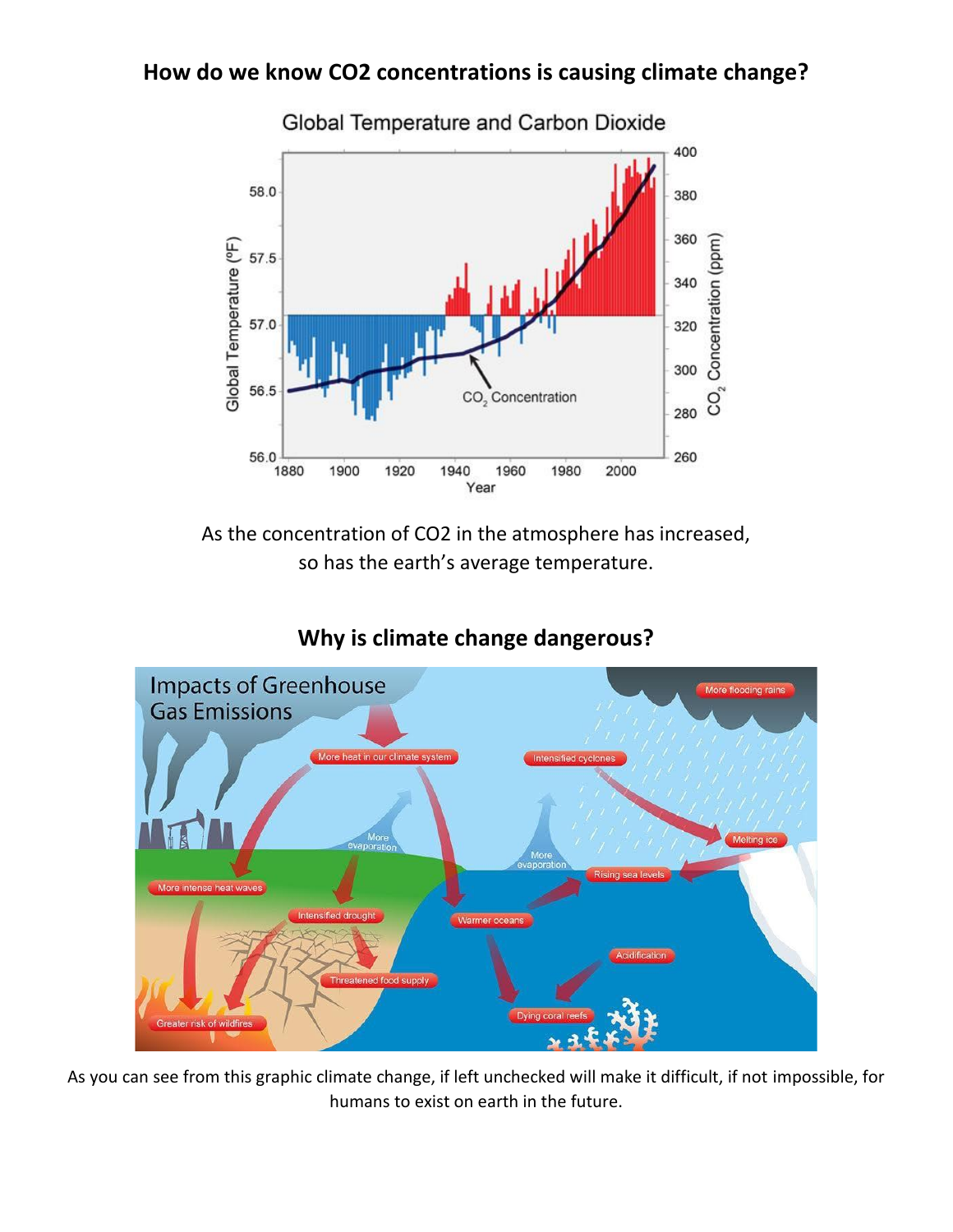## **How do we know CO2 concentrations is causing climate change?**



As the concentration of CO2 in the atmosphere has increased, so has the earth's average temperature.



# **Why is climate change dangerous?**

As you can see from this graphic climate change, if left unchecked will make it difficult, if not impossible, for humans to exist on earth in the future.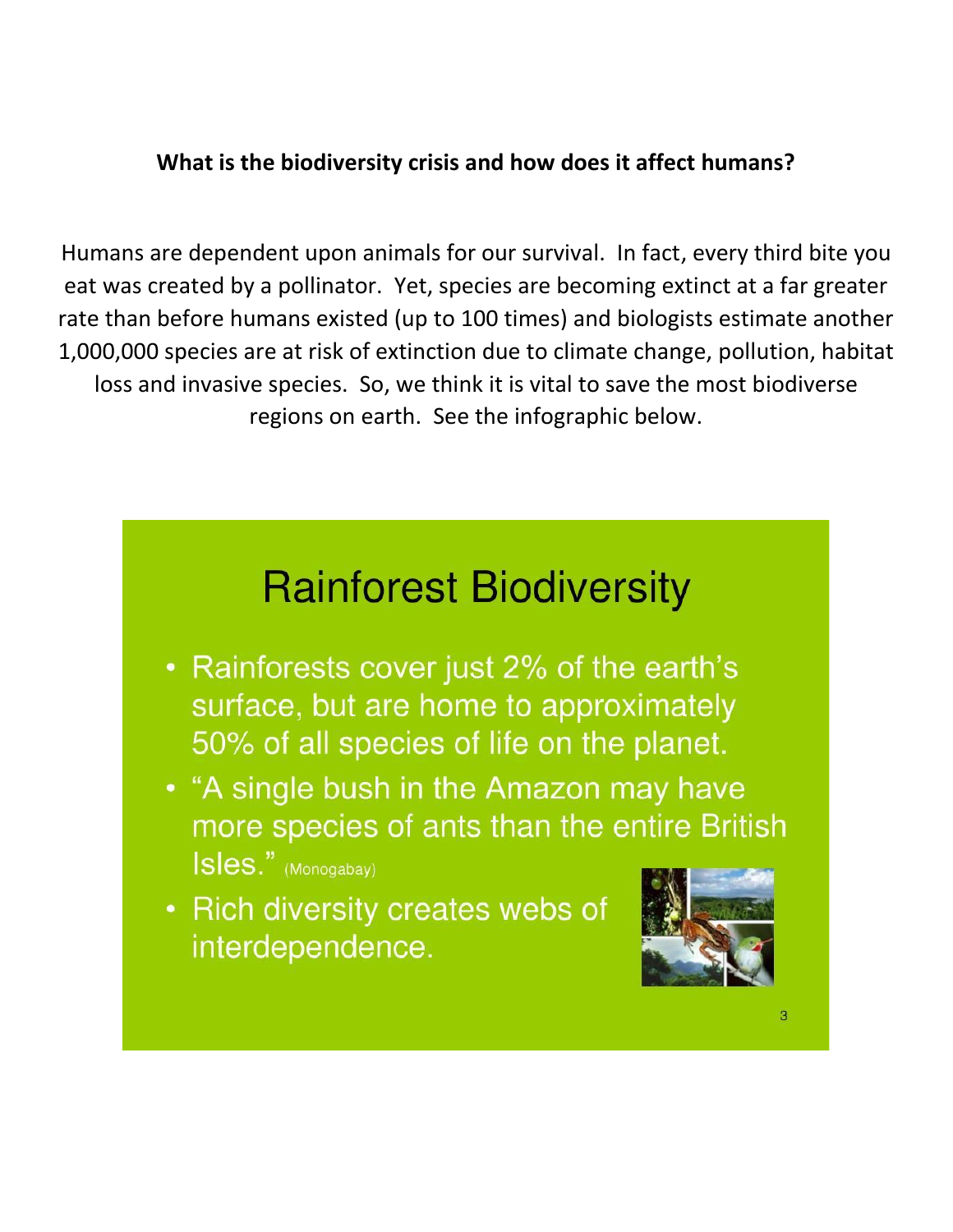# **What is the biodiversity crisis and how does it affect humans?**

Humans are dependent upon animals for our survival. In fact, every third bite you eat was created by a pollinator. Yet, species are becoming extinct at a far greater rate than before humans existed (up to 100 times) and biologists estimate another 1,000,000 species are at risk of extinction due to climate change, pollution, habitat loss and invasive species. So, we think it is vital to save the most biodiverse regions on earth. See the infographic below.

# **Rainforest Biodiversity**

- Rainforests cover just 2% of the earth's surface, but are home to approximately 50% of all species of life on the planet.
- "A single bush in the Amazon may have more species of ants than the entire British Isles." (Monogabay)
- Rich diversity creates webs of interdependence.

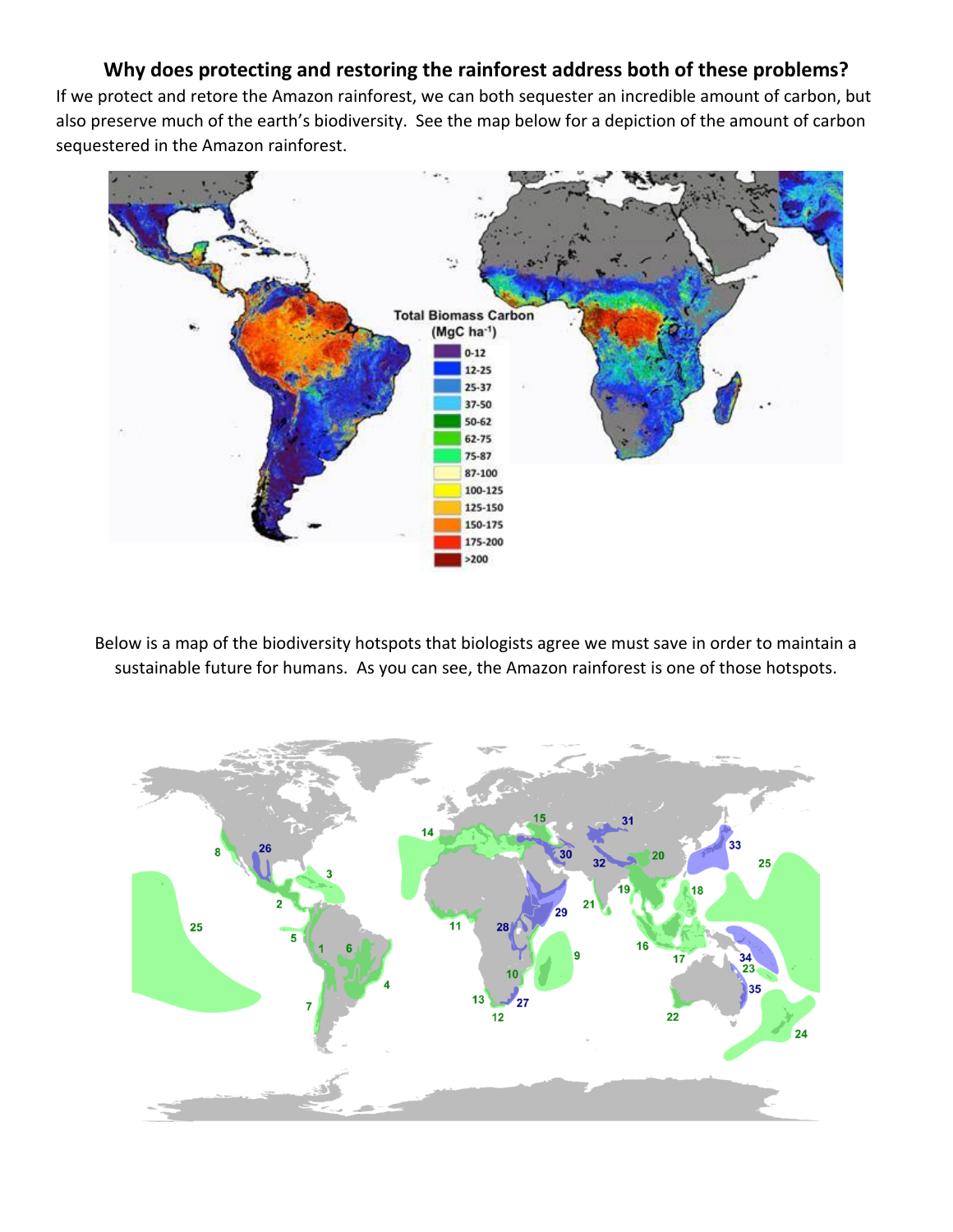#### **Why does protecting and restoring the rainforest address both of these problems?**

If we protect and retore the Amazon rainforest, we can both sequester an incredible amount of carbon, but also preserve much of the earth's biodiversity. See the map below for a depiction of the amount of carbon sequestered in the Amazon rainforest.



Below is a map of the biodiversity hotspots that biologists agree we must save in order to maintain a sustainable future for humans. As you can see, the Amazon rainforest is one of those hotspots.